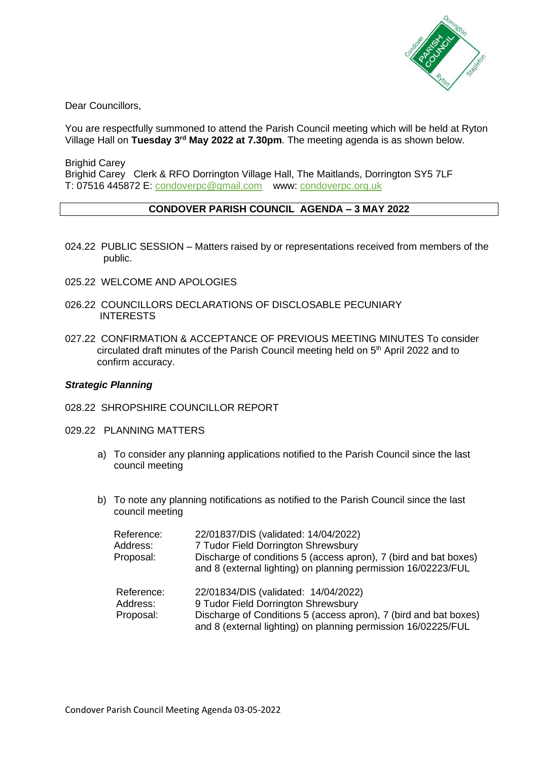

Dear Councillors,

You are respectfully summoned to attend the Parish Council meeting which will be held at Ryton Village Hall on Tuesday 3<sup>rd</sup> May 2022 at 7.30pm. The meeting agenda is as shown below.

Brighid Carey Brighid Carey Clerk & RFO Dorrington Village Hall, The Maitlands, Dorrington SY5 7LF T: 07516 445872 E: [condoverpc@gmail.com](mailto:condoverpc@gmail.com) www: condoverpc.org.uk

## **CONDOVER PARISH COUNCIL AGENDA – 3 MAY 2022**

- 024.22 PUBLIC SESSION Matters raised by or representations received from members of the public.
- 025.22 WELCOME AND APOLOGIES
- 026.22 COUNCILLORS DECLARATIONS OF DISCLOSABLE PECUNIARY INTERESTS
- 027.22 CONFIRMATION & ACCEPTANCE OF PREVIOUS MEETING MINUTES To consider circulated draft minutes of the Parish Council meeting held on 5<sup>th</sup> April 2022 and to confirm accuracy.

## *Strategic Planning*

- 028.22 SHROPSHIRE COUNCILLOR REPORT
- 029.22 PLANNING MATTERS
	- a) To consider any planning applications notified to the Parish Council since the last council meeting
	- b) To note any planning notifications as notified to the Parish Council since the last council meeting

| Reference:<br>Address:<br>Proposal: | 22/01837/DIS (validated: 14/04/2022)<br>7 Tudor Field Dorrington Shrewsbury<br>Discharge of conditions 5 (access apron), 7 (bird and bat boxes)<br>and 8 (external lighting) on planning permission 16/02223/FUL |
|-------------------------------------|------------------------------------------------------------------------------------------------------------------------------------------------------------------------------------------------------------------|
| Reference:<br>Address:<br>Proposal: | 22/01834/DIS (validated: 14/04/2022)<br>9 Tudor Field Dorrington Shrewsbury<br>Discharge of Conditions 5 (access apron), 7 (bird and bat boxes)<br>and 8 (external lighting) on planning permission 16/02225/FUL |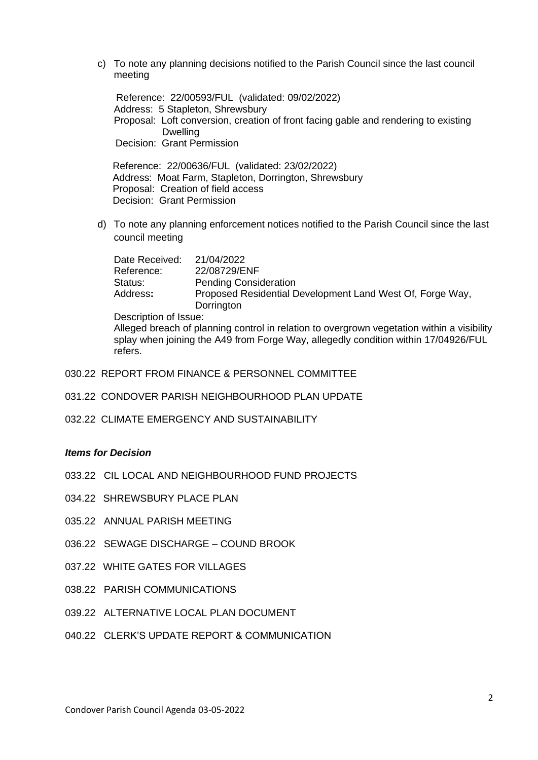c) To note any planning decisions notified to the Parish Council since the last council meeting

Reference: 22/00593/FUL (validated: 09/02/2022) Address: 5 Stapleton, Shrewsbury Proposal: Loft conversion, creation of front facing gable and rendering to existing Dwelling Decision: Grant Permission

Reference: 22/00636/FUL (validated: 23/02/2022) Address: Moat Farm, Stapleton, Dorrington, Shrewsbury Proposal: Creation of field access Decision: Grant Permission

d) To note any planning enforcement notices notified to the Parish Council since the last council meeting

| Date Received: | 21/04/2022<br>22/08729/ENF                                              |
|----------------|-------------------------------------------------------------------------|
| Reference:     |                                                                         |
| Status:        | <b>Pending Consideration</b>                                            |
| Address:       | Proposed Residential Development Land West Of, Forge Way,<br>Dorrington |

Description of Issue:

Alleged breach of planning control in relation to overgrown vegetation within a visibility splay when joining the A49 from Forge Way, allegedly condition within 17/04926/FUL refers.

- 030.22 REPORT FROM FINANCE & PERSONNEL COMMITTEE
- 031.22 CONDOVER PARISH NEIGHBOURHOOD PLAN UPDATE
- 032.22 CLIMATE EMERGENCY AND SUSTAINABILITY

## *Items for Decision*

- 033.22 CIL LOCAL AND NEIGHBOURHOOD FUND PROJECTS
- 034.22 SHREWSBURY PLACE PLAN
- 035.22 ANNUAL PARISH MEETING
- 036.22 SEWAGE DISCHARGE COUND BROOK
- 037.22 WHITE GATES FOR VILLAGES
- 038.22 PARISH COMMUNICATIONS
- 039.22 ALTERNATIVE LOCAL PLAN DOCUMENT
- 040.22 CLERK'S UPDATE REPORT & COMMUNICATION